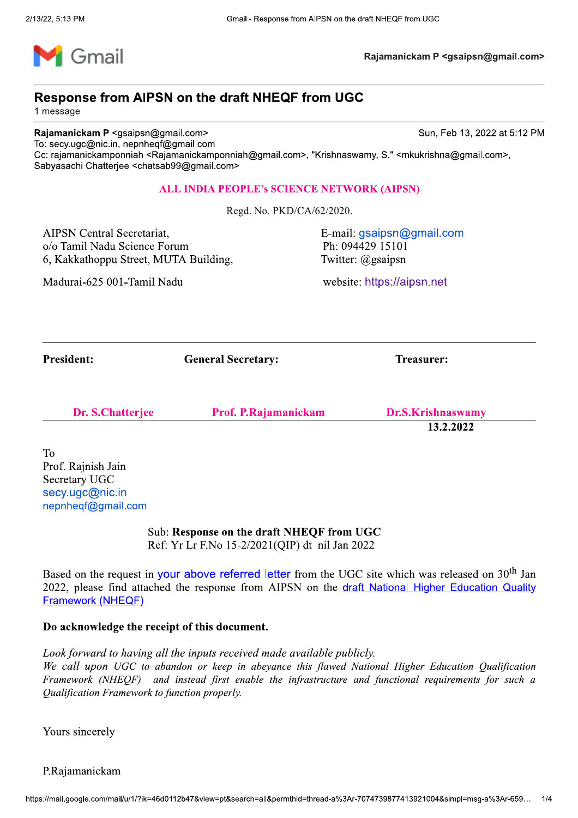

Rajamanickam P <gsaipsn@gmail.com>

# Response from AIPSN on the draft NHEQF from UGC

1 message

Response from AIPSN on the draft NHEQF from UGC<br>
Response from AIPSN on the draft NHEQF from UGC<br>
1 message<br>
To: secy.ugc@inc.in, nepnheqf@gmail.com<br>
To: secy.ugc@inc.in, nepnheqf@gmail.com<br>
Cc: rajamanickamponniah <Rajama Sun, Feb 13, 2022 at 5:12 PM Response from AIPSN on the draft NHEQF from UGC<br>
Innessage<br>
Rajamanickam P <gsaipsn@gmail.com<br>
To: secury<br>
digital properties and the control of the state of the control of the state of the state of the CS-<br>
Co: rajamanick

k¨©®emeral Secretary: Comeral Secretary: Treasurer:

| <b>Dr. S.Chatterjee</b> | Prof. P.Rajamanickam | Dr.S.Krishnaswamy |
|-------------------------|----------------------|-------------------|
|                         |                      |                   |

 $13.2.2022$ 

T<sub>o</sub> Prof. Rajnish Jain<br>Secretary UGC

> Sub: Response on the draft NHEQF from UGC Ref: Yr Lr F.No 15-2/2021(QIP) dt nil Jan 2022

**Dr. S.Chatterjee** Prof<br>
To<br>
Prof. Rajnish Jain<br>
Secretary UGC<br>
secy.ugc@nic.in<br>
nepnheqf@gmail.com<br>
Sub: Response on<br>
Ref: Yr Lr F.No 1:<br>
Based on the request in your above ref<br>
2022, please find attached the response<br>
Fr Based on the request in your above referred letter from the UGC site which was released on  $30^{th}$  Jan 2022, please find attached the response from AIPSN on the draft National Higher Education Quality secy.ugc@nic.in<br>
sub: **Response on the draft NHEQF from UGC**<br>
Ref: Yr Lr F.No 15-2/2021(QIP) dt nil Jan 2022<br>
Based on the request in your above referred letter from the UGC site which was released on 30<sup>th</sup> Jan<br>
2022, ple

## Do acknowledge the receipt of this document.

Look forward to having all the inputs received made available publicly.

We call upon UGC to abandon or keep in abeyance this flawed National Higher Education Qualification Framework (NHEQF) and instead first enable the infrastructure and functional requirements for such a Qualification Framework to function properly.

Yours sincerely

}}}}}}}}}}}}}}}}}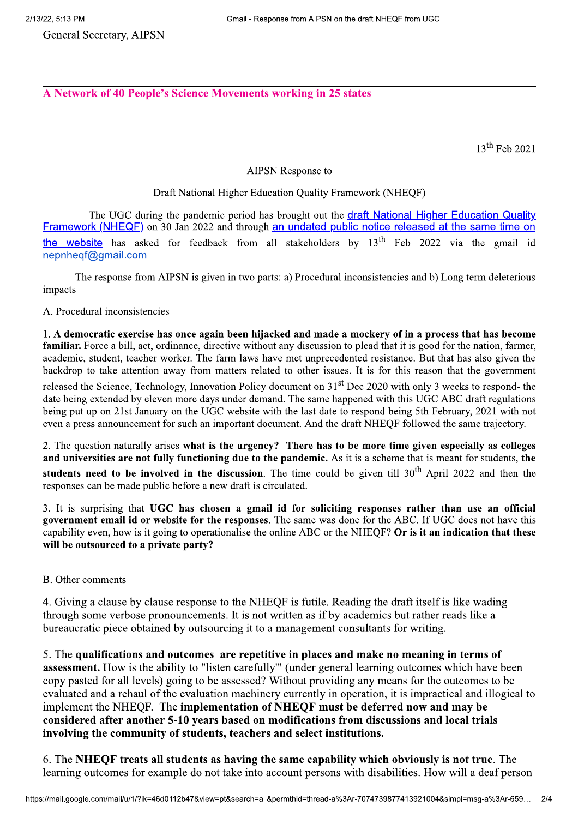**General Secretary, AIPSN** 

A Network of 40 People's Science Movements working in 25 states

 $13^{th}$  Feb 2021

#### **AIPSN Response to**

### Draft National Higher Education Quality Framework (NHEQF)

The UGC during the pandemic period has brought out the draft National Higher Education Quality Framework (NHEQF) on 30 Jan 2022 and through an undated public notice released at the same time on the website has asked for feedback from all stakeholders by 13<sup>th</sup> Feb 2022 via the gmail id nepnheqf@qmail.com

The response from AIPSN is given in two parts: a) Procedural inconsistencies and b) Long term deleterious impacts

A. Procedural inconsistencies

1. A democratic exercise has once again been hijacked and made a mockery of in a process that has become familiar. Force a bill, act, ordinance, directive without any discussion to plead that it is good for the nation, farmer, academic, student, teacher worker. The farm laws have met unprecedented resistance. But that has also given the backdrop to take attention away from matters related to other issues. It is for this reason that the government released the Science, Technology, Innovation Policy document on 31<sup>st</sup> Dec 2020 with only 3 weeks to respond- the date being extended by eleven more days under demand. The same happened with this UGC ABC draft regulations being put up on 21st January on the UGC website with the last date to respond being 5th February, 2021 with not even a press announcement for such an important document. And the draft NHEOF followed the same trajectory.

2. The question naturally arises what is the urgency? There has to be more time given especially as colleges and universities are not fully functioning due to the pandemic. As it is a scheme that is meant for students, the students need to be involved in the discussion. The time could be given till 30<sup>th</sup> April 2022 and then the responses can be made public before a new draft is circulated.

3. It is surprising that UGC has chosen a gmail id for soliciting responses rather than use an official government email id or website for the responses. The same was done for the ABC. If UGC does not have this capability even, how is it going to operationalise the online ABC or the NHEQF? Or is it an indication that these will be outsourced to a private party?

### B. Other comments

4. Giving a clause by clause response to the NHEOF is futile. Reading the draft itself is like wading through some verbose pronouncements. It is not written as if by academics but rather reads like a bureaucratic piece obtained by outsourcing it to a management consultants for writing.

5. The qualifications and outcomes are repetitive in places and make no meaning in terms of **assessment.** How is the ability to "listen carefully" (under general learning outcomes which have been copy pasted for all levels) going to be assessed? Without providing any means for the outcomes to be evaluated and a rehaul of the evaluation machinery currently in operation, it is impractical and illogical to implement the NHEQF. The implementation of NHEQF must be deferred now and may be considered after another 5-10 years based on modifications from discussions and local trials involving the community of students, teachers and select institutions.

6. The NHEQF treats all students as having the same capability which obviously is not true. The learning outcomes for example do not take into account persons with disabilities. How will a deaf person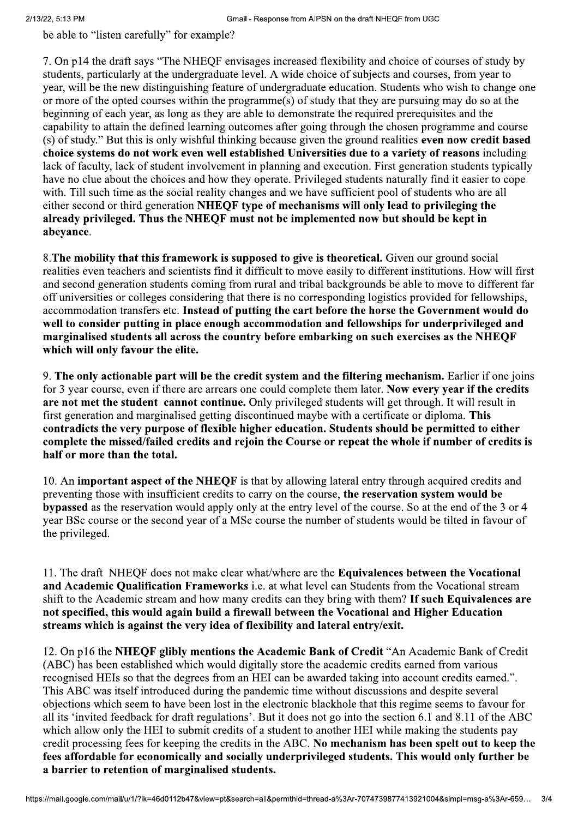be able to "listen carefully" for example?

7. On p14 the draft says "The NHEOF envisages increased flexibility and choice of courses of study by students, particularly at the undergraduate level. A wide choice of subjects and courses, from year to year, will be the new distinguishing feature of undergraduate education. Students who wish to change one or more of the opted courses within the programme(s) of study that they are pursuing may do so at the beginning of each year, as long as they are able to demonstrate the required prerequisites and the capability to attain the defined learning outcomes after going through the chosen programme and course (s) of study." But this is only wishful thinking because given the ground realities even now credit based choice systems do not work even well established Universities due to a variety of reasons including lack of faculty, lack of student involvement in planning and execution. First generation students typically have no clue about the choices and how they operate. Privileged students naturally find it easier to cope with. Till such time as the social reality changes and we have sufficient pool of students who are all either second or third generation NHEQF type of mechanisms will only lead to privileging the alreadv privileged. Thus the NHEOF must not be implemented now but should be kept in abevance.

8. The mobility that this framework is supposed to give is theoretical. Given our ground social realities even teachers and scientists find it difficult to move easily to different institutions. How will first and second generation students coming from rural and tribal backgrounds be able to move to different far off universities or colleges considering that there is no corresponding logistics provided for fellowships, accommodation transfers etc. Instead of putting the cart before the horse the Government would do well to consider putting in place enough accommodation and fellowships for underprivileged and marginalised students all across the country before embarking on such exercises as the NHEOF which will only favour the elite.

9. The only actionable part will be the credit system and the filtering mechanism. Earlier if one joins for 3 year course, even if there are arrears one could complete them later. Now every year if the credits are not met the student cannot continue. Only privileged students will get through. It will result in first generation and marginalised getting discontinued maybe with a certificate or diploma. This contradicts the very purpose of flexible higher education. Students should be permitted to either complete the missed/failed credits and reioin the Course or repeat the whole if number of credits is half or more than the total.

10. An important aspect of the NHEQF is that by allowing lateral entry through acquired credits and preventing those with insufficient credits to carry on the course, the reservation system would be **bypassed** as the reservation would apply only at the entry level of the course. So at the end of the 3 or 4 year BSc course or the second year of a MSc course the number of students would be tilted in favour of the privileged.

11. The draft NHEOF does not make clear what/where are the **Equivalences between the Vocational** and Academic Qualification Frameworks *i.e.* at what level can Students from the Vocational stream shift to the Academic stream and how many credits can they bring with them? If such Equivalences are not specified, this would again build a firewall between the Vocational and Higher Education streams which is against the very idea of flexibility and lateral entry/exit.

12. On p16 the NHEQF glibly mentions the Academic Bank of Credit "An Academic Bank of Credit (ABC) has been established which would digitally store the academic credits earned from various recognised HEIs so that the degrees from an HEI can be awarded taking into account credits earned.". This ABC was itself introduced during the pandemic time without discussions and despite several objections which seem to have been lost in the electronic blackhole that this regime seems to favour for all its 'invited feedback for draft regulations'. But it does not go into the section 6.1 and 8.11 of the ABC which allow only the HEI to submit credits of a student to another HEI while making the students pay credit processing fees for keeping the credits in the ABC. No mechanism has been spelt out to keep the fees affordable for economically and socially underprivileged students. This would only further be a barrier to retention of marginalised students.